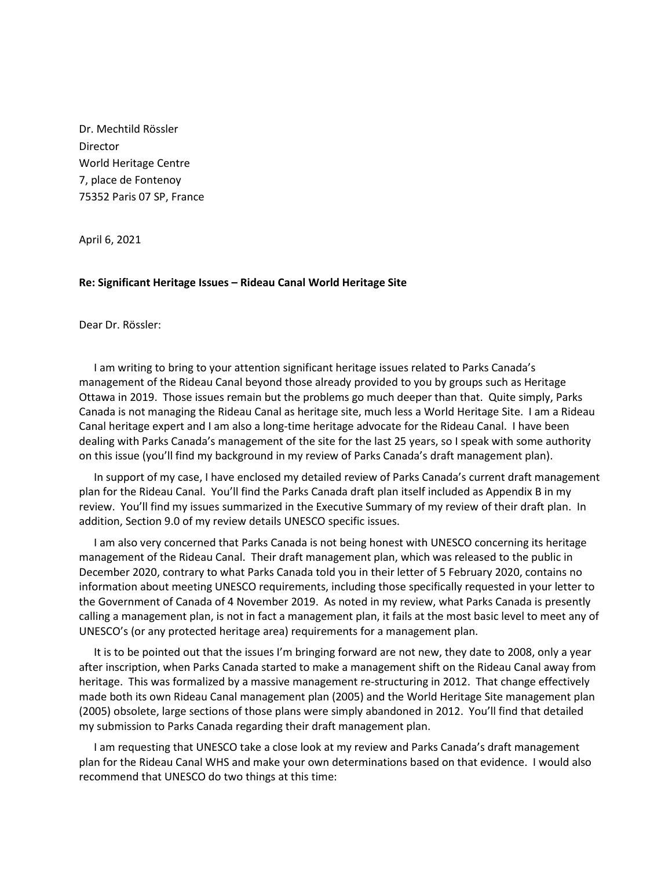Dr. Mechtild Rössler Director World Heritage Centre 7, place de Fontenoy 75352 Paris 07 SP, France

April 6, 2021

## **Re: Significant Heritage Issues – Rideau Canal World Heritage Site**

Dear Dr. Rössler:

I am writing to bring to your attention significant heritage issues related to Parks Canada's management of the Rideau Canal beyond those already provided to you by groups such as Heritage Ottawa in 2019. Those issues remain but the problems go much deeper than that. Quite simply, Parks Canada is not managing the Rideau Canal as heritage site, much less a World Heritage Site. I am a Rideau Canal heritage expert and I am also a long-time heritage advocate for the Rideau Canal. I have been dealing with Parks Canada's management of the site for the last 25 years, so I speak with some authority on this issue (you'll find my background in my review of Parks Canada's draft management plan).

In support of my case, I have enclosed my detailed review of Parks Canada's current draft management plan for the Rideau Canal. You'll find the Parks Canada draft plan itself included as Appendix B in my review. You'll find my issues summarized in the Executive Summary of my review of their draft plan. In addition, Section 9.0 of my review details UNESCO specific issues.

I am also very concerned that Parks Canada is not being honest with UNESCO concerning its heritage management of the Rideau Canal. Their draft management plan, which was released to the public in December 2020, contrary to what Parks Canada told you in their letter of 5 February 2020, contains no information about meeting UNESCO requirements, including those specifically requested in your letter to the Government of Canada of 4 November 2019. As noted in my review, what Parks Canada is presently calling a management plan, is not in fact a management plan, it fails at the most basic level to meet any of UNESCO's (or any protected heritage area) requirements for a management plan.

It is to be pointed out that the issues I'm bringing forward are not new, they date to 2008, only a year after inscription, when Parks Canada started to make a management shift on the Rideau Canal away from heritage. This was formalized by a massive management re-structuring in 2012. That change effectively made both its own Rideau Canal management plan (2005) and the World Heritage Site management plan (2005) obsolete, large sections of those plans were simply abandoned in 2012. You'll find that detailed my submission to Parks Canada regarding their draft management plan.

I am requesting that UNESCO take a close look at my review and Parks Canada's draft management plan for the Rideau Canal WHS and make your own determinations based on that evidence. I would also recommend that UNESCO do two things at this time: